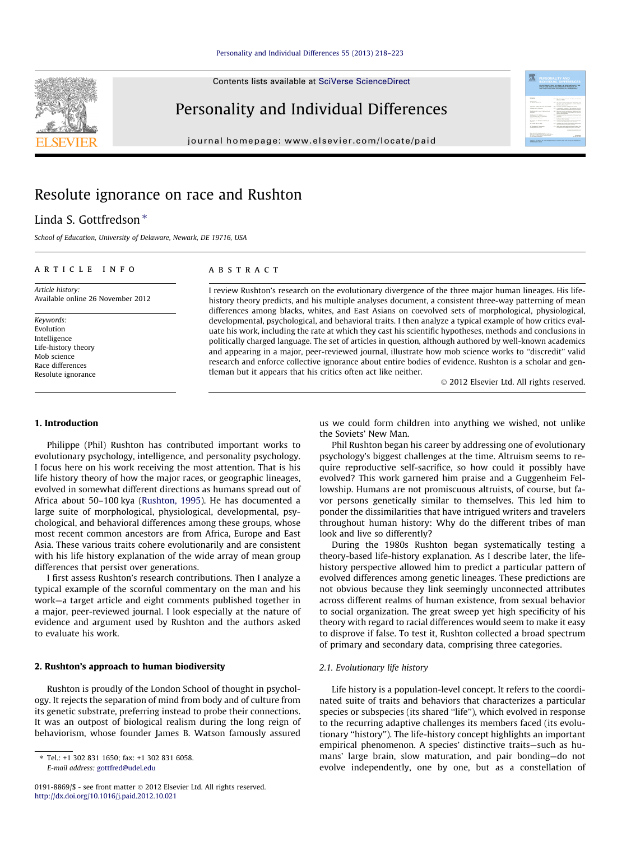Contents lists available at [SciVerse ScienceDirect](http://www.sciencedirect.com/science/journal/01918869)

# Personality and Individual Differences

journal homepage: [www.elsevier.com/locate/paid](http://www.elsevier.com/locate/paid)

## Resolute ignorance on race and Rushton

### Linda S. Gottfredson<sup>\*</sup>

School of Education, University of Delaware, Newark, DE 19716, USA

#### article info

Article history: Available online 26 November 2012

Keywords: Evolution Intelligence Life-history theory Mob science Race differences Resolute ignorance

#### ABSTRACT

I review Rushton's research on the evolutionary divergence of the three major human lineages. His lifehistory theory predicts, and his multiple analyses document, a consistent three-way patterning of mean differences among blacks, whites, and East Asians on coevolved sets of morphological, physiological, developmental, psychological, and behavioral traits. I then analyze a typical example of how critics evaluate his work, including the rate at which they cast his scientific hypotheses, methods and conclusions in politically charged language. The set of articles in question, although authored by well-known academics and appearing in a major, peer-reviewed journal, illustrate how mob science works to ''discredit'' valid research and enforce collective ignorance about entire bodies of evidence. Rushton is a scholar and gentleman but it appears that his critics often act like neither.

- 2012 Elsevier Ltd. All rights reserved.

#### 1. Introduction

Philippe (Phil) Rushton has contributed important works to evolutionary psychology, intelligence, and personality psychology. I focus here on his work receiving the most attention. That is his life history theory of how the major races, or geographic lineages, evolved in somewhat different directions as humans spread out of Africa about 50–100 kya ([Rushton, 1995\)](#page-5-0). He has documented a large suite of morphological, physiological, developmental, psychological, and behavioral differences among these groups, whose most recent common ancestors are from Africa, Europe and East Asia. These various traits cohere evolutionarily and are consistent with his life history explanation of the wide array of mean group differences that persist over generations.

I first assess Rushton's research contributions. Then I analyze a typical example of the scornful commentary on the man and his work—a target article and eight comments published together in a major, peer-reviewed journal. I look especially at the nature of evidence and argument used by Rushton and the authors asked to evaluate his work.

#### 2. Rushton's approach to human biodiversity

Rushton is proudly of the London School of thought in psychology. It rejects the separation of mind from body and of culture from its genetic substrate, preferring instead to probe their connections. It was an outpost of biological realism during the long reign of behaviorism, whose founder James B. Watson famously assured us we could form children into anything we wished, not unlike the Soviets' New Man.

Phil Rushton began his career by addressing one of evolutionary psychology's biggest challenges at the time. Altruism seems to require reproductive self-sacrifice, so how could it possibly have evolved? This work garnered him praise and a Guggenheim Fellowship. Humans are not promiscuous altruists, of course, but favor persons genetically similar to themselves. This led him to ponder the dissimilarities that have intrigued writers and travelers throughout human history: Why do the different tribes of man look and live so differently?

During the 1980s Rushton began systematically testing a theory-based life-history explanation. As I describe later, the lifehistory perspective allowed him to predict a particular pattern of evolved differences among genetic lineages. These predictions are not obvious because they link seemingly unconnected attributes across different realms of human existence, from sexual behavior to social organization. The great sweep yet high specificity of his theory with regard to racial differences would seem to make it easy to disprove if false. To test it, Rushton collected a broad spectrum of primary and secondary data, comprising three categories.

### 2.1. Evolutionary life history

Life history is a population-level concept. It refers to the coordinated suite of traits and behaviors that characterizes a particular species or subspecies (its shared "life"), which evolved in response to the recurring adaptive challenges its members faced (its evolutionary ''history''). The life-history concept highlights an important empirical phenomenon. A species' distinctive traits—such as humans' large brain, slow maturation, and pair bonding—do not evolve independently, one by one, but as a constellation of



<sup>⇑</sup> Tel.: +1 302 831 1650; fax: +1 302 831 6058. E-mail address: [gottfred@udel.edu](mailto:gottfred@udel.edu)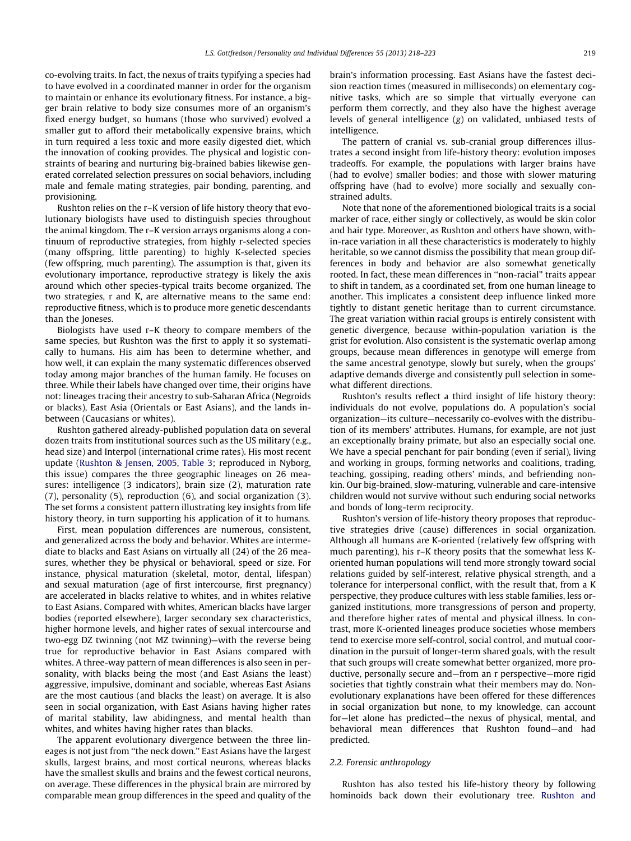co-evolving traits. In fact, the nexus of traits typifying a species had to have evolved in a coordinated manner in order for the organism to maintain or enhance its evolutionary fitness. For instance, a bigger brain relative to body size consumes more of an organism's fixed energy budget, so humans (those who survived) evolved a smaller gut to afford their metabolically expensive brains, which in turn required a less toxic and more easily digested diet, which the innovation of cooking provides. The physical and logistic constraints of bearing and nurturing big-brained babies likewise generated correlated selection pressures on social behaviors, including male and female mating strategies, pair bonding, parenting, and provisioning.

Rushton relies on the r–K version of life history theory that evolutionary biologists have used to distinguish species throughout the animal kingdom. The r–K version arrays organisms along a continuum of reproductive strategies, from highly r-selected species (many offspring, little parenting) to highly K-selected species (few offspring, much parenting). The assumption is that, given its evolutionary importance, reproductive strategy is likely the axis around which other species-typical traits become organized. The two strategies, r and K, are alternative means to the same end: reproductive fitness, which is to produce more genetic descendants than the Joneses.

Biologists have used r–K theory to compare members of the same species, but Rushton was the first to apply it so systematically to humans. His aim has been to determine whether, and how well, it can explain the many systematic differences observed today among major branches of the human family. He focuses on three. While their labels have changed over time, their origins have not: lineages tracing their ancestry to sub-Saharan Africa (Negroids or blacks), East Asia (Orientals or East Asians), and the lands inbetween (Caucasians or whites).

Rushton gathered already-published population data on several dozen traits from institutional sources such as the US military (e.g., head size) and Interpol (international crime rates). His most recent update [\(Rushton & Jensen, 2005, Table 3;](#page-5-0) reproduced in Nyborg, this issue) compares the three geographic lineages on 26 measures: intelligence (3 indicators), brain size (2), maturation rate (7), personality (5), reproduction (6), and social organization (3). The set forms a consistent pattern illustrating key insights from life history theory, in turn supporting his application of it to humans.

First, mean population differences are numerous, consistent, and generalized across the body and behavior. Whites are intermediate to blacks and East Asians on virtually all (24) of the 26 measures, whether they be physical or behavioral, speed or size. For instance, physical maturation (skeletal, motor, dental, lifespan) and sexual maturation (age of first intercourse, first pregnancy) are accelerated in blacks relative to whites, and in whites relative to East Asians. Compared with whites, American blacks have larger bodies (reported elsewhere), larger secondary sex characteristics, higher hormone levels, and higher rates of sexual intercourse and two-egg DZ twinning (not MZ twinning)—with the reverse being true for reproductive behavior in East Asians compared with whites. A three-way pattern of mean differences is also seen in personality, with blacks being the most (and East Asians the least) aggressive, impulsive, dominant and sociable, whereas East Asians are the most cautious (and blacks the least) on average. It is also seen in social organization, with East Asians having higher rates of marital stability, law abidingness, and mental health than whites, and whites having higher rates than blacks.

The apparent evolutionary divergence between the three lineages is not just from ''the neck down.'' East Asians have the largest skulls, largest brains, and most cortical neurons, whereas blacks have the smallest skulls and brains and the fewest cortical neurons, on average. These differences in the physical brain are mirrored by comparable mean group differences in the speed and quality of the brain's information processing. East Asians have the fastest decision reaction times (measured in milliseconds) on elementary cognitive tasks, which are so simple that virtually everyone can perform them correctly, and they also have the highest average levels of general intelligence (g) on validated, unbiased tests of intelligence.

The pattern of cranial vs. sub-cranial group differences illustrates a second insight from life-history theory: evolution imposes tradeoffs. For example, the populations with larger brains have (had to evolve) smaller bodies; and those with slower maturing offspring have (had to evolve) more socially and sexually constrained adults.

Note that none of the aforementioned biological traits is a social marker of race, either singly or collectively, as would be skin color and hair type. Moreover, as Rushton and others have shown, within-race variation in all these characteristics is moderately to highly heritable, so we cannot dismiss the possibility that mean group differences in body and behavior are also somewhat genetically rooted. In fact, these mean differences in ''non-racial'' traits appear to shift in tandem, as a coordinated set, from one human lineage to another. This implicates a consistent deep influence linked more tightly to distant genetic heritage than to current circumstance. The great variation within racial groups is entirely consistent with genetic divergence, because within-population variation is the grist for evolution. Also consistent is the systematic overlap among groups, because mean differences in genotype will emerge from the same ancestral genotype, slowly but surely, when the groups' adaptive demands diverge and consistently pull selection in somewhat different directions.

Rushton's results reflect a third insight of life history theory: individuals do not evolve, populations do. A population's social organization—its culture—necessarily co-evolves with the distribution of its members' attributes. Humans, for example, are not just an exceptionally brainy primate, but also an especially social one. We have a special penchant for pair bonding (even if serial), living and working in groups, forming networks and coalitions, trading, teaching, gossiping, reading others' minds, and befriending nonkin. Our big-brained, slow-maturing, vulnerable and care-intensive children would not survive without such enduring social networks and bonds of long-term reciprocity.

Rushton's version of life-history theory proposes that reproductive strategies drive (cause) differences in social organization. Although all humans are K-oriented (relatively few offspring with much parenting), his r–K theory posits that the somewhat less Koriented human populations will tend more strongly toward social relations guided by self-interest, relative physical strength, and a tolerance for interpersonal conflict, with the result that, from a K perspective, they produce cultures with less stable families, less organized institutions, more transgressions of person and property, and therefore higher rates of mental and physical illness. In contrast, more K-oriented lineages produce societies whose members tend to exercise more self-control, social control, and mutual coordination in the pursuit of longer-term shared goals, with the result that such groups will create somewhat better organized, more productive, personally secure and—from an r perspective—more rigid societies that tightly constrain what their members may do. Nonevolutionary explanations have been offered for these differences in social organization but none, to my knowledge, can account for—let alone has predicted—the nexus of physical, mental, and behavioral mean differences that Rushton found—and had predicted.

#### 2.2. Forensic anthropology

Rushton has also tested his life-history theory by following hominoids back down their evolutionary tree. [Rushton and](#page-5-0)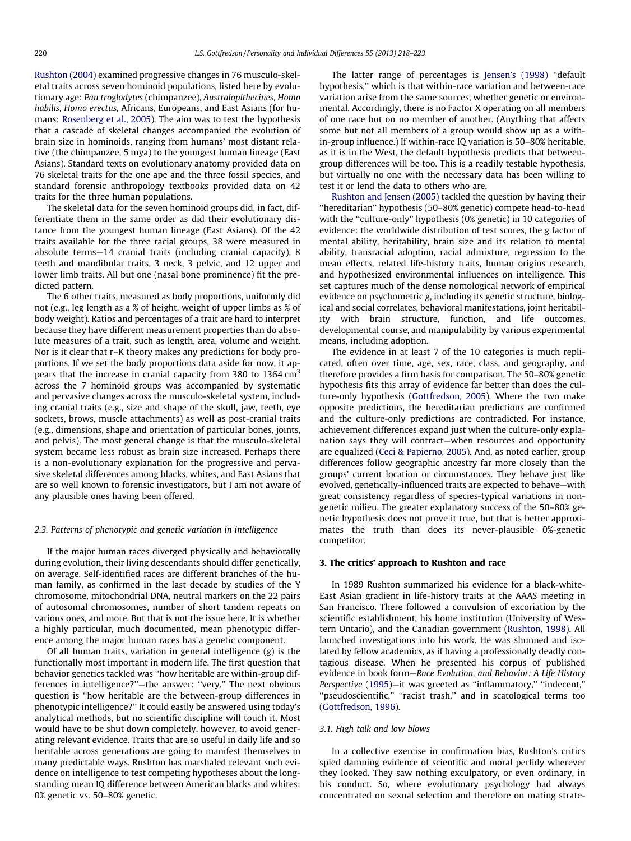[Rushton \(2004\)](#page-5-0) examined progressive changes in 76 musculo-skeletal traits across seven hominoid populations, listed here by evolutionary age: Pan troglodytes (chimpanzee), Australopithecines, Homo habilis, Homo erectus, Africans, Europeans, and East Asians (for humans: [Rosenberg et al., 2005\)](#page-5-0). The aim was to test the hypothesis that a cascade of skeletal changes accompanied the evolution of brain size in hominoids, ranging from humans' most distant relative (the chimpanzee, 5 mya) to the youngest human lineage (East Asians). Standard texts on evolutionary anatomy provided data on 76 skeletal traits for the one ape and the three fossil species, and standard forensic anthropology textbooks provided data on 42 traits for the three human populations.

The skeletal data for the seven hominoid groups did, in fact, differentiate them in the same order as did their evolutionary distance from the youngest human lineage (East Asians). Of the 42 traits available for the three racial groups, 38 were measured in absolute terms—14 cranial traits (including cranial capacity), 8 teeth and mandibular traits, 3 neck, 3 pelvic, and 12 upper and lower limb traits. All but one (nasal bone prominence) fit the predicted pattern.

The 6 other traits, measured as body proportions, uniformly did not (e.g., leg length as a % of height, weight of upper limbs as % of body weight). Ratios and percentages of a trait are hard to interpret because they have different measurement properties than do absolute measures of a trait, such as length, area, volume and weight. Nor is it clear that r–K theory makes any predictions for body proportions. If we set the body proportions data aside for now, it appears that the increase in cranial capacity from 380 to 1364 cm<sup>3</sup> across the 7 hominoid groups was accompanied by systematic and pervasive changes across the musculo-skeletal system, including cranial traits (e.g., size and shape of the skull, jaw, teeth, eye sockets, brows, muscle attachments) as well as post-cranial traits (e.g., dimensions, shape and orientation of particular bones, joints, and pelvis). The most general change is that the musculo-skeletal system became less robust as brain size increased. Perhaps there is a non-evolutionary explanation for the progressive and pervasive skeletal differences among blacks, whites, and East Asians that are so well known to forensic investigators, but I am not aware of any plausible ones having been offered.

#### 2.3. Patterns of phenotypic and genetic variation in intelligence

If the major human races diverged physically and behaviorally during evolution, their living descendants should differ genetically, on average. Self-identified races are different branches of the human family, as confirmed in the last decade by studies of the Y chromosome, mitochondrial DNA, neutral markers on the 22 pairs of autosomal chromosomes, number of short tandem repeats on various ones, and more. But that is not the issue here. It is whether a highly particular, much documented, mean phenotypic difference among the major human races has a genetic component.

Of all human traits, variation in general intelligence (g) is the functionally most important in modern life. The first question that behavior genetics tackled was ''how heritable are within-group differences in intelligence?''—the answer: ''very.'' The next obvious question is ''how heritable are the between-group differences in phenotypic intelligence?'' It could easily be answered using today's analytical methods, but no scientific discipline will touch it. Most would have to be shut down completely, however, to avoid generating relevant evidence. Traits that are so useful in daily life and so heritable across generations are going to manifest themselves in many predictable ways. Rushton has marshaled relevant such evidence on intelligence to test competing hypotheses about the longstanding mean IQ difference between American blacks and whites: 0% genetic vs. 50–80% genetic.

The latter range of percentages is [Jensen's \(1998\)](#page-5-0) ''default hypothesis,'' which is that within-race variation and between-race variation arise from the same sources, whether genetic or environmental. Accordingly, there is no Factor X operating on all members of one race but on no member of another. (Anything that affects some but not all members of a group would show up as a within-group influence.) If within-race IQ variation is 50–80% heritable, as it is in the West, the default hypothesis predicts that betweengroup differences will be too. This is a readily testable hypothesis, but virtually no one with the necessary data has been willing to test it or lend the data to others who are.

[Rushton and Jensen \(2005\)](#page-5-0) tackled the question by having their ''hereditarian'' hypothesis (50–80% genetic) compete head-to-head with the ''culture-only'' hypothesis (0% genetic) in 10 categories of evidence: the worldwide distribution of test scores, the g factor of mental ability, heritability, brain size and its relation to mental ability, transracial adoption, racial admixture, regression to the mean effects, related life-history traits, human origins research, and hypothesized environmental influences on intelligence. This set captures much of the dense nomological network of empirical evidence on psychometric g, including its genetic structure, biological and social correlates, behavioral manifestations, joint heritability with brain structure, function, and life outcomes, developmental course, and manipulability by various experimental means, including adoption.

The evidence in at least 7 of the 10 categories is much replicated, often over time, age, sex, race, class, and geography, and therefore provides a firm basis for comparison. The 50–80% genetic hypothesis fits this array of evidence far better than does the culture-only hypothesis [\(Gottfredson, 2005\)](#page-5-0). Where the two make opposite predictions, the hereditarian predictions are confirmed and the culture-only predictions are contradicted. For instance, achievement differences expand just when the culture-only explanation says they will contract—when resources and opportunity are equalized ([Ceci & Papierno, 2005\)](#page-5-0). And, as noted earlier, group differences follow geographic ancestry far more closely than the groups' current location or circumstances. They behave just like evolved, genetically-influenced traits are expected to behave—with great consistency regardless of species-typical variations in nongenetic milieu. The greater explanatory success of the 50–80% genetic hypothesis does not prove it true, but that is better approximates the truth than does its never-plausible 0%-genetic competitor.

#### 3. The critics' approach to Rushton and race

In 1989 Rushton summarized his evidence for a black-white-East Asian gradient in life-history traits at the AAAS meeting in San Francisco. There followed a convulsion of excoriation by the scientific establishment, his home institution (University of Western Ontario), and the Canadian government [\(Rushton, 1998](#page-5-0)). All launched investigations into his work. He was shunned and isolated by fellow academics, as if having a professionally deadly contagious disease. When he presented his corpus of published evidence in book form—Race Evolution, and Behavior: A Life History Perspective [\(1995](#page-5-0))-it was greeted as "inflammatory," "indecent," ''pseudoscientific,'' ''racist trash,'' and in scatological terms too ([Gottfredson, 1996](#page-5-0)).

#### 3.1. High talk and low blows

In a collective exercise in confirmation bias, Rushton's critics spied damning evidence of scientific and moral perfidy wherever they looked. They saw nothing exculpatory, or even ordinary, in his conduct. So, where evolutionary psychology had always concentrated on sexual selection and therefore on mating strate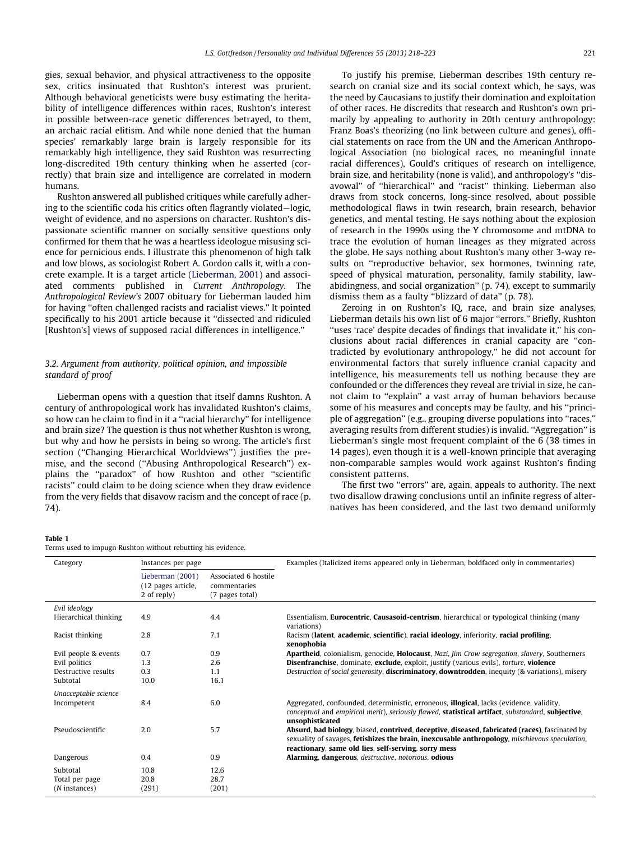<span id="page-3-0"></span>gies, sexual behavior, and physical attractiveness to the opposite sex, critics insinuated that Rushton's interest was prurient. Although behavioral geneticists were busy estimating the heritability of intelligence differences within races, Rushton's interest in possible between-race genetic differences betrayed, to them, an archaic racial elitism. And while none denied that the human species' remarkably large brain is largely responsible for its remarkably high intelligence, they said Rushton was resurrecting long-discredited 19th century thinking when he asserted (correctly) that brain size and intelligence are correlated in modern humans.

Rushton answered all published critiques while carefully adhering to the scientific coda his critics often flagrantly violated—logic, weight of evidence, and no aspersions on character. Rushton's dispassionate scientific manner on socially sensitive questions only confirmed for them that he was a heartless ideologue misusing science for pernicious ends. I illustrate this phenomenon of high talk and low blows, as sociologist Robert A. Gordon calls it, with a concrete example. It is a target article [\(Lieberman, 2001\)](#page-5-0) and associated comments published in Current Anthropology. The Anthropological Review's 2007 obituary for Lieberman lauded him for having ''often challenged racists and racialist views.'' It pointed specifically to his 2001 article because it ''dissected and ridiculed [Rushton's] views of supposed racial differences in intelligence."

#### 3.2. Argument from authority, political opinion, and impossible standard of proof

Lieberman opens with a question that itself damns Rushton. A century of anthropological work has invalidated Rushton's claims, so how can he claim to find in it a ''racial hierarchy'' for intelligence and brain size? The question is thus not whether Rushton is wrong, but why and how he persists in being so wrong. The article's first section (''Changing Hierarchical Worldviews'') justifies the premise, and the second (''Abusing Anthropological Research'') explains the ''paradox'' of how Rushton and other ''scientific racists'' could claim to be doing science when they draw evidence from the very fields that disavow racism and the concept of race (p. 74).

To justify his premise, Lieberman describes 19th century research on cranial size and its social context which, he says, was the need by Caucasians to justify their domination and exploitation of other races. He discredits that research and Rushton's own primarily by appealing to authority in 20th century anthropology: Franz Boas's theorizing (no link between culture and genes), official statements on race from the UN and the American Anthropological Association (no biological races, no meaningful innate racial differences), Gould's critiques of research on intelligence, brain size, and heritability (none is valid), and anthropology's ''disavowal'' of ''hierarchical'' and ''racist'' thinking. Lieberman also draws from stock concerns, long-since resolved, about possible methodological flaws in twin research, brain research, behavior genetics, and mental testing. He says nothing about the explosion of research in the 1990s using the Y chromosome and mtDNA to trace the evolution of human lineages as they migrated across the globe. He says nothing about Rushton's many other 3-way results on ''reproductive behavior, sex hormones, twinning rate, speed of physical maturation, personality, family stability, lawabidingness, and social organization'' (p. 74), except to summarily dismiss them as a faulty ''blizzard of data'' (p. 78).

Zeroing in on Rushton's IQ, race, and brain size analyses, Lieberman details his own list of 6 major ''errors.'' Briefly, Rushton ''uses 'race' despite decades of findings that invalidate it,'' his conclusions about racial differences in cranial capacity are ''contradicted by evolutionary anthropology,'' he did not account for environmental factors that surely influence cranial capacity and intelligence, his measurements tell us nothing because they are confounded or the differences they reveal are trivial in size, he cannot claim to ''explain'' a vast array of human behaviors because some of his measures and concepts may be faulty, and his ''principle of aggregation'' (e.g., grouping diverse populations into ''races,'' averaging results from different studies) is invalid. ''Aggregation'' is Lieberman's single most frequent complaint of the 6 (38 times in 14 pages), even though it is a well-known principle that averaging non-comparable samples would work against Rushton's finding consistent patterns.

The first two ''errors'' are, again, appeals to authority. The next two disallow drawing conclusions until an infinite regress of alternatives has been considered, and the last two demand uniformly

#### Table 1

Terms used to impugn Rushton without rebutting his evidence.

| Category              | Instances per page                                    |                                                         | Examples (Italicized items appeared only in Lieberman, boldfaced only in commentaries)                                                                                                                                                                           |
|-----------------------|-------------------------------------------------------|---------------------------------------------------------|------------------------------------------------------------------------------------------------------------------------------------------------------------------------------------------------------------------------------------------------------------------|
|                       | Lieberman (2001)<br>(12 pages article,<br>2 of reply) | Associated 6 hostile<br>commentaries<br>(7 pages total) |                                                                                                                                                                                                                                                                  |
| Evil ideology         |                                                       |                                                         |                                                                                                                                                                                                                                                                  |
| Hierarchical thinking | 4.9                                                   | 4.4                                                     | Essentialism, <b>Eurocentric, Causasoid-centrism</b> , hierarchical or typological thinking (many<br>variations)                                                                                                                                                 |
| Racist thinking       | 2.8                                                   | 7.1                                                     | Racism (latent, academic, scientific), racial ideology, inferiority, racial profiling,<br>xenophobia                                                                                                                                                             |
| Evil people & events  | 0.7                                                   | 0.9                                                     | Apartheid, colonialism, genocide, Holocaust, Nazi, Jim Crow segregation, slavery, Southerners                                                                                                                                                                    |
| Evil politics         | 1.3                                                   | 2.6                                                     | <b>Disenfranchise</b> , dominate, <b>exclude</b> , exploit, justify (various evils), <i>torture</i> , <b>violence</b>                                                                                                                                            |
| Destructive results   | 0.3                                                   | 1.1                                                     | Destruction of social generosity, <b>discriminatory, downtrodden</b> , inequity (& variations), misery                                                                                                                                                           |
| Subtotal              | 10.0                                                  | 16.1                                                    |                                                                                                                                                                                                                                                                  |
| Unacceptable science  |                                                       |                                                         |                                                                                                                                                                                                                                                                  |
| Incompetent           | 8.4                                                   | 6.0                                                     | Aggregated, confounded, deterministic, erroneous, <b>illogical</b> , lacks (evidence, validity,<br>conceptual and empirical merit), seriously flawed, <b>statistical artifact</b> , substandard, <b>subjective</b> ,<br>unsophisticated                          |
| Pseudoscientific      | 2.0                                                   | 5.7                                                     | Absurd, bad biology, biased, contrived, deceptive, diseased, fabricated (races), fascinated by<br>sexuality of savages, <b>fetishizes the brain, inexcusable anthropology</b> , mischievous speculation,<br>reactionary, same old lies, self-serving, sorry mess |
| Dangerous             | 0.4                                                   | 0.9                                                     | Alarming, dangerous, destructive, notorious, odious                                                                                                                                                                                                              |
| Subtotal              | 10.8                                                  | 12.6                                                    |                                                                                                                                                                                                                                                                  |
| Total per page        | 20.8                                                  | 28.7                                                    |                                                                                                                                                                                                                                                                  |
| (N instances)         | (291)                                                 | (201)                                                   |                                                                                                                                                                                                                                                                  |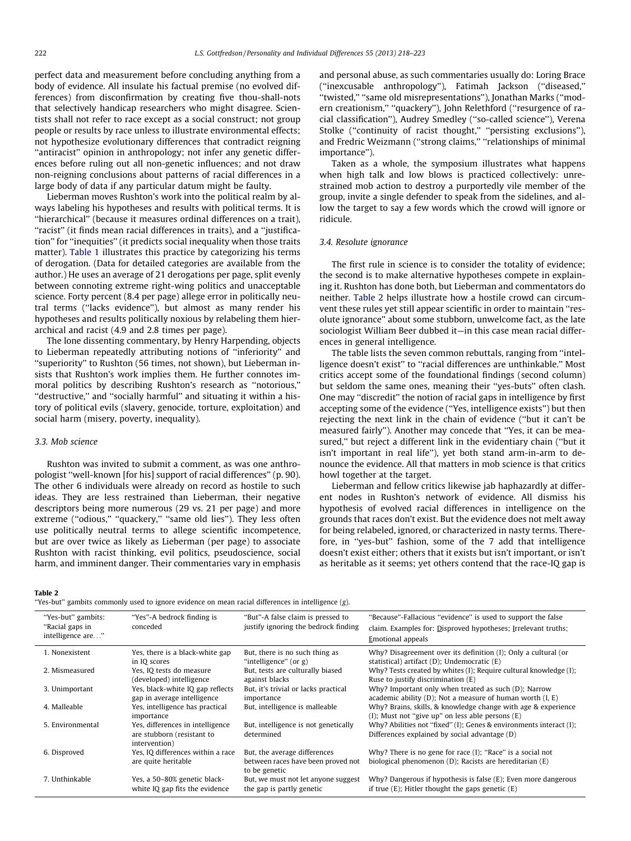perfect data and measurement before concluding anything from a body of evidence. All insulate his factual premise (no evolved differences) from disconfirmation by creating five thou-shall-nots that selectively handicap researchers who might disagree. Scientists shall not refer to race except as a social construct; not group people or results by race unless to illustrate environmental effects; not hypothesize evolutionary differences that contradict reigning "antiracist" opinion in anthropology; not infer any genetic differences before ruling out all non-genetic influences; and not draw non-reigning conclusions about patterns of racial differences in a large body of data if any particular datum might be faulty.

Lieberman moves Rushton's work into the political realm by always labeling his hypotheses and results with political terms. It is ''hierarchical'' (because it measures ordinal differences on a trait), ''racist'' (it finds mean racial differences in traits), and a ''justification'' for ''inequities'' (it predicts social inequality when those traits matter). [Table 1](#page-3-0) illustrates this practice by categorizing his terms of derogation. (Data for detailed categories are available from the author.) He uses an average of 21 derogations per page, split evenly between connoting extreme right-wing politics and unacceptable science. Forty percent (8.4 per page) allege error in politically neutral terms (''lacks evidence''), but almost as many render his hypotheses and results politically noxious by relabeling them hierarchical and racist (4.9 and 2.8 times per page).

The lone dissenting commentary, by Henry Harpending, objects to Lieberman repeatedly attributing notions of ''inferiority'' and ''superiority'' to Rushton (56 times, not shown), but Lieberman insists that Rushton's work implies them. He further connotes immoral politics by describing Rushton's research as ''notorious,'' ''destructive,'' and ''socially harmful'' and situating it within a history of political evils (slavery, genocide, torture, exploitation) and social harm (misery, poverty, inequality).

#### 3.3. Mob science

Rushton was invited to submit a comment, as was one anthropologist ''well-known [for his] support of racial differences'' (p. 90). The other 6 individuals were already on record as hostile to such ideas. They are less restrained than Lieberman, their negative descriptors being more numerous (29 vs. 21 per page) and more extreme ("odious," "quackery," "same old lies"). They less often use politically neutral terms to allege scientific incompetence, but are over twice as likely as Lieberman (per page) to associate Rushton with racist thinking, evil politics, pseudoscience, social harm, and imminent danger. Their commentaries vary in emphasis

and personal abuse, as such commentaries usually do: Loring Brace (''inexcusable anthropology''), Fatimah Jackson (''diseased,'' ''twisted,'' ''same old misrepresentations''), Jonathan Marks (''modern creationism," "quackery"), John Relethford ("resurgence of racial classification''), Audrey Smedley (''so-called science''), Verena Stolke (''continuity of racist thought,'' ''persisting exclusions''), and Fredric Weizmann ("strong claims," "relationships of minimal importance'').

Taken as a whole, the symposium illustrates what happens when high talk and low blows is practiced collectively: unrestrained mob action to destroy a purportedly vile member of the group, invite a single defender to speak from the sidelines, and allow the target to say a few words which the crowd will ignore or ridicule.

### 3.4. Resolute ignorance

The first rule in science is to consider the totality of evidence; the second is to make alternative hypotheses compete in explaining it. Rushton has done both, but Lieberman and commentators do neither. Table 2 helps illustrate how a hostile crowd can circumvent these rules yet still appear scientific in order to maintain ''resolute ignorance'' about some stubborn, unwelcome fact, as the late sociologist William Beer dubbed it—in this case mean racial differences in general intelligence.

The table lists the seven common rebuttals, ranging from ''intelligence doesn't exist'' to ''racial differences are unthinkable.'' Most critics accept some of the foundational findings (second column) but seldom the same ones, meaning their ''yes-buts'' often clash. One may ''discredit'' the notion of racial gaps in intelligence by first accepting some of the evidence (''Yes, intelligence exists'') but then rejecting the next link in the chain of evidence (''but it can't be measured fairly''). Another may concede that ''Yes, it can be measured,'' but reject a different link in the evidentiary chain (''but it isn't important in real life''), yet both stand arm-in-arm to denounce the evidence. All that matters in mob science is that critics howl together at the target.

Lieberman and fellow critics likewise jab haphazardly at different nodes in Rushton's network of evidence. All dismiss his hypothesis of evolved racial differences in intelligence on the grounds that races don't exist. But the evidence does not melt away for being relabeled, ignored, or characterized in nasty terms. Therefore, in ''yes-but'' fashion, some of the 7 add that intelligence doesn't exist either; others that it exists but isn't important, or isn't as heritable as it seems; yet others contend that the race-IQ gap is

#### Table 2

''Yes-but'' gambits commonly used to ignore evidence on mean racial differences in intelligence (g).

| "Yes-but" gambits:<br>"Racial gaps in<br>intelligence are" | "Yes"-A bedrock finding is<br>conceded                                          | "But"-A false claim is pressed to<br>justify ignoring the bedrock finding           | "Because"-Fallacious "evidence" is used to support the false<br>claim. Examples for: Disproved hypotheses; Irrelevant truths;<br><b>Emotional appeals</b> |
|------------------------------------------------------------|---------------------------------------------------------------------------------|-------------------------------------------------------------------------------------|-----------------------------------------------------------------------------------------------------------------------------------------------------------|
| 1. Nonexistent                                             | Yes, there is a black-white gap                                                 | But, there is no such thing as                                                      | Why? Disagreement over its definition (I); Only a cultural (or                                                                                            |
|                                                            | in IQ scores                                                                    | "intelligence" (or g)                                                               | statistical) artifact (D); Undemocratic (E)                                                                                                               |
| 2. Mismeasured                                             | Yes, IQ tests do measure                                                        | But, tests are culturally biased                                                    | Why? Tests created by whites (I); Require cultural knowledge (I);                                                                                         |
|                                                            | (developed) intelligence                                                        | against blacks                                                                      | Ruse to justify discrimination (E)                                                                                                                        |
| 3. Unimportant                                             | Yes, black-white IQ gap reflects                                                | But, it's trivial or lacks practical                                                | Why? Important only when treated as such (D); Narrow                                                                                                      |
|                                                            | gap in average intelligence                                                     | importance                                                                          | academic ability $(D)$ ; Not a measure of human worth $(I, E)$                                                                                            |
| 4. Malleable                                               | Yes, intelligence has practical<br>importance                                   | But, intelligence is malleable                                                      | Why? Brains, skills, & knowledge change with age & experience<br>$(I)$ ; Must not "give up" on less able persons $(E)$                                    |
| 5. Environmental                                           | Yes, differences in intelligence<br>are stubborn (resistant to<br>intervention) | But, intelligence is not genetically<br>determined                                  | Why? Abilities not "fixed" (I); Genes & environments interact (I);<br>Differences explained by social advantage (D)                                       |
| 6. Disproved                                               | Yes, IQ differences within a race<br>are quite heritable                        | But, the average differences<br>between races have been proved not<br>to be genetic | Why? There is no gene for race $(I)$ ; "Race" is a social not<br>biological phenomenon (D); Racists are hereditarian (E)                                  |
| 7. Unthinkable                                             | Yes, a 50–80% genetic black-                                                    | But, we must not let anyone suggest                                                 | Why? Dangerous if hypothesis is false (E); Even more dangerous                                                                                            |
|                                                            | white IQ gap fits the evidence                                                  | the gap is partly genetic                                                           | if true $(E)$ ; Hitler thought the gaps genetic $(E)$                                                                                                     |